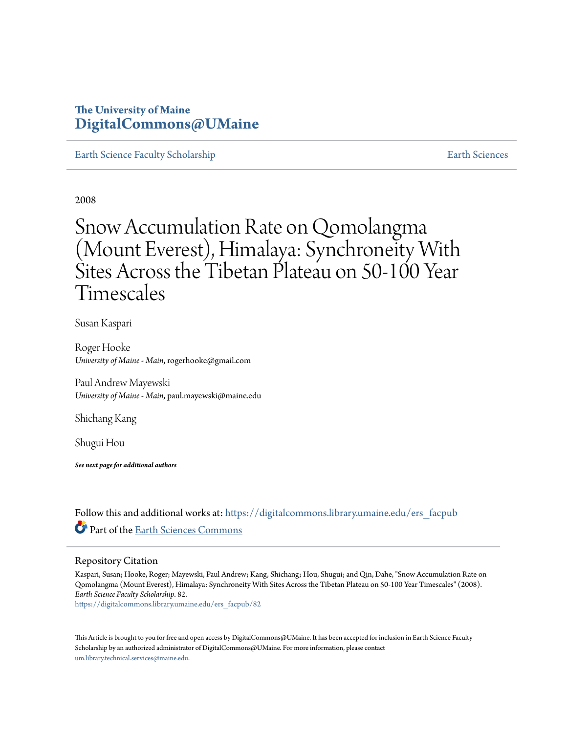# **The University of Maine [DigitalCommons@UMaine](https://digitalcommons.library.umaine.edu?utm_source=digitalcommons.library.umaine.edu%2Fers_facpub%2F82&utm_medium=PDF&utm_campaign=PDFCoverPages)**

[Earth Science Faculty Scholarship](https://digitalcommons.library.umaine.edu/ers_facpub?utm_source=digitalcommons.library.umaine.edu%2Fers_facpub%2F82&utm_medium=PDF&utm_campaign=PDFCoverPages) **[Earth Sciences](https://digitalcommons.library.umaine.edu/ers?utm_source=digitalcommons.library.umaine.edu%2Fers_facpub%2F82&utm_medium=PDF&utm_campaign=PDFCoverPages)** 

2008

# Snow Accumulation Rate on Qomolangma (Mount Everest), Himalaya: Synchroneity With Sites Across the Tibetan Plateau on 50-100 Year Timescales

Susan Kaspari

Roger Hooke *University of Maine - Main*, rogerhooke@gmail.com

Paul Andrew Mayewski *University of Maine - Main*, paul.mayewski@maine.edu

Shichang Kang

Shugui Hou

*See next page for additional authors*

Follow this and additional works at: [https://digitalcommons.library.umaine.edu/ers\\_facpub](https://digitalcommons.library.umaine.edu/ers_facpub?utm_source=digitalcommons.library.umaine.edu%2Fers_facpub%2F82&utm_medium=PDF&utm_campaign=PDFCoverPages) Part of the [Earth Sciences Commons](http://network.bepress.com/hgg/discipline/153?utm_source=digitalcommons.library.umaine.edu%2Fers_facpub%2F82&utm_medium=PDF&utm_campaign=PDFCoverPages)

# Repository Citation

Kaspari, Susan; Hooke, Roger; Mayewski, Paul Andrew; Kang, Shichang; Hou, Shugui; and Qin, Dahe, "Snow Accumulation Rate on Qomolangma (Mount Everest), Himalaya: Synchroneity With Sites Across the Tibetan Plateau on 50-100 Year Timescales" (2008). *Earth Science Faculty Scholarship*. 82.

[https://digitalcommons.library.umaine.edu/ers\\_facpub/82](https://digitalcommons.library.umaine.edu/ers_facpub/82?utm_source=digitalcommons.library.umaine.edu%2Fers_facpub%2F82&utm_medium=PDF&utm_campaign=PDFCoverPages)

This Article is brought to you for free and open access by DigitalCommons@UMaine. It has been accepted for inclusion in Earth Science Faculty Scholarship by an authorized administrator of DigitalCommons@UMaine. For more information, please contact [um.library.technical.services@maine.edu](mailto:um.library.technical.services@maine.edu).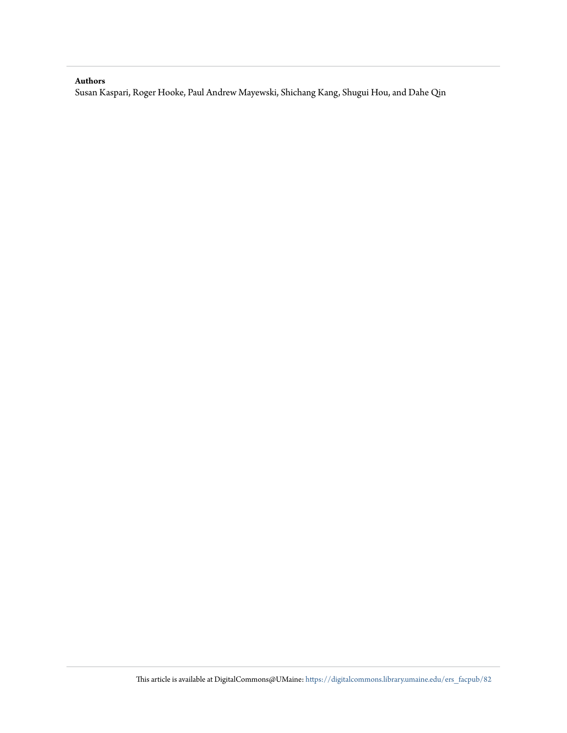# **Authors**

Susan Kaspari, Roger Hooke, Paul Andrew Mayewski, Shichang Kang, Shugui Hou, and Dahe Qin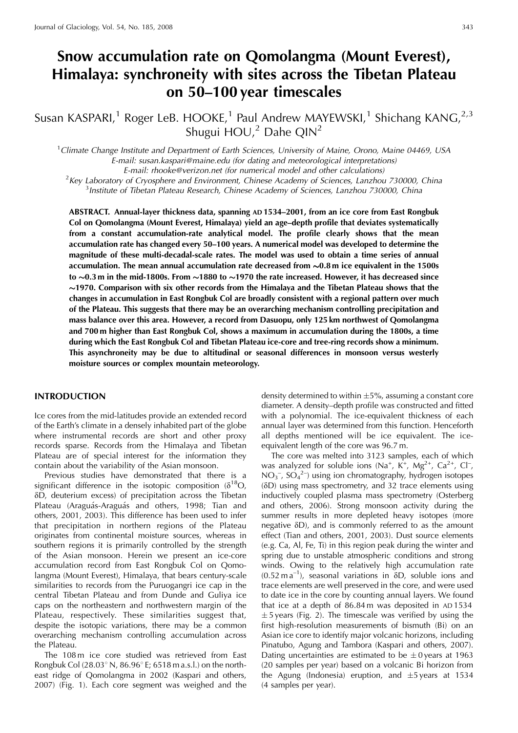# Snow accumulation rate on Qomolangma (Mount Everest), Himalaya: synchroneity with sites across the Tibetan Plateau on 50-100 year timescales

Susan KASPARI,<sup>1</sup> Roger LeB. HOOKE,<sup>1</sup> Paul Andrew MAYEWSKI,<sup>1</sup> Shichang KANG,<sup>2,3</sup> Shugui HOU,<sup>2</sup> Dahe QIN<sup>2</sup>

 ${}^{1}$ Climate Change Institute and Department of Earth Sciences, University of Maine, Orono, Maine 04469, USA E-mail: susan.kaspari@maine.edu (for dating and meteorological interpretations) E-mail: rhooke@verizon.net (for numerical model and other calculations)

<sup>2</sup>Key Laboratory of Cryosphere and Environment, Chinese Academy of Sciences, Lanzhou 730000, China <sup>3</sup>Institute of Tibetan Plateau Research, Chinese Academy of Sciences, Lanzhou 730000, China

ABSTRACT. Annual-layer thickness data, spanning AD 1534-2001, from an ice core from East Rongbuk Col on Qomolangma (Mount Everest, Himalaya) yield an age-depth profile that deviates systematically from a constant accumulation-rate analytical model. The profile clearly shows that the mean accumulation rate has changed every 50–100 years. A numerical model was developed to determine the magnitude of these multi-decadal-scale rates. The model was used to obtain a time series of annual accumulation. The mean annual accumulation rate decreased from  $\sim 0.8$  m ice equivalent in the 1500s to  $\sim$ 0.3 m in the mid-1800s. From  $\sim$ 1880 to  $\sim$ 1970 the rate increased. However, it has decreased since  $\sim$ 1970. Comparison with six other records from the Himalaya and the Tibetan Plateau shows that the changes in accumulation in East Rongbuk Col are broadly consistent with a regional pattern over much of the Plateau. This suggests that there may be an overarching mechanism controlling precipitation and mass balance over this area. However, a record from Dasuopu, only 125 km northwest of Qomolangma and 700 m higher than East Rongbuk Col, shows a maximum in accumulation during the 1800s, a time during which the East Rongbuk Col and Tibetan Plateau ice-core and tree-ring records show a minimum. This asynchroneity may be due to altitudinal or seasonal differences in monsoon versus westerly moisture sources or complex mountain meteorology.

# **INTRODUCTION**

Ice cores from the mid-latitudes provide an extended record of the Earth's climate in a densely inhabited part of the globe where instrumental records are short and other proxy records sparse. Records from the Himalaya and Tibetan Plateau are of special interest for the information they contain about the variability of the Asian monsoon.

Previous studies have demonstrated that there is a significant difference in the isotopic composition  $(\delta^{18}O,$ δD, deuterium excess) of precipitation across the Tibetan Plateau (Araguás-Araguás and others, 1998; Tian and others, 2001, 2003). This difference has been used to infer that precipitation in northern regions of the Plateau originates from continental moisture sources, whereas in southern regions it is primarily controlled by the strength of the Asian monsoon. Herein we present an ice-core accumulation record from East Rongbuk Col on Qomolangma (Mount Everest), Himalaya, that bears century-scale similarities to records from the Puruogangri ice cap in the central Tibetan Plateau and from Dunde and Guliya ice caps on the northeastern and northwestern margin of the Plateau, respectively. These similarities suggest that, despite the isotopic variations, there may be a common overarching mechanism controlling accumulation across the Plateau.

The 108 m ice core studied was retrieved from East Rongbuk Col (28.03° N, 86.96° E; 6518 m a.s.l.) on the northeast ridge of Qomolangma in 2002 (Kaspari and others, 2007) (Fig. 1). Each core segment was weighed and the

density determined to within  $\pm 5\%$ , assuming a constant core diameter. A density-depth profile was constructed and fitted with a polynomial. The ice-equivalent thickness of each annual layer was determined from this function. Henceforth all depths mentioned will be ice equivalent. The iceequivalent length of the core was 96.7 m.

The core was melted into 3123 samples, each of which was analyzed for soluble ions (Na<sup>+</sup>, K<sup>+</sup>, Mg<sup>2+</sup>, Ca<sup>2+</sup>, Cl<sup>-</sup>,  $NO<sub>3</sub><sup>-</sup>$ ,  $SO<sub>4</sub><sup>2–</sup>$ ) using ion chromatography, hydrogen isotopes  $(\delta D)$  using mass spectrometry, and 32 trace elements using inductively coupled plasma mass spectrometry (Osterberg and others, 2006). Strong monsoon activity during the summer results in more depleted heavy isotopes (more negative  $\delta D$ ), and is commonly referred to as the amount effect (Tian and others, 2001, 2003). Dust source elements (e.g. Ca, Al, Fe, Ti) in this region peak during the winter and spring due to unstable atmospheric conditions and strong winds. Owing to the relatively high accumulation rate  $(0.52 \text{ m a}^{-1})$ , seasonal variations in  $\delta D$ , soluble ions and trace elements are well preserved in the core, and were used to date ice in the core by counting annual layers. We found that ice at a depth of 86.84 m was deposited in AD1534  $\pm$  5 years (Fig. 2). The timescale was verified by using the first high-resolution measurements of bismuth (Bi) on an Asian ice core to identify major volcanic horizons, including Pinatubo, Agung and Tambora (Kaspari and others, 2007). Dating uncertainties are estimated to be  $\pm 0$  years at 1963 (20 samples per year) based on a volcanic Bi horizon from the Agung (Indonesia) eruption, and  $\pm 5$  years at 1534 (4 samples per year).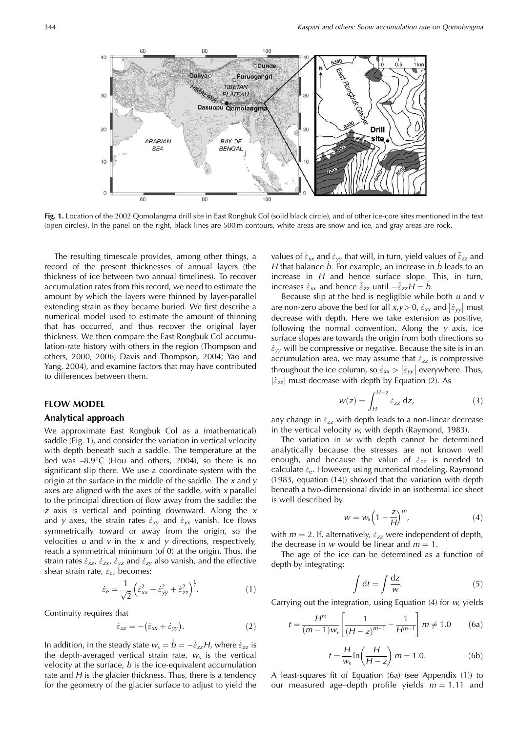

Fig. 1. Location of the 2002 Qomolangma drill site in East Rongbuk Col (solid black circle), and of other ice-core sites mentioned in the text (open circles). In the panel on the right, black lines are 500 m contours, white areas are snow and ice, and gray areas are rock.

The resulting timescale provides, among other things, a record of the present thicknesses of annual layers (the thickness of ice between two annual timelines). To recover accumulation rates from this record, we need to estimate the amount by which the layers were thinned by layer-parallel extending strain as they became buried. We first describe a numerical model used to estimate the amount of thinning that has occurred, and thus recover the original layer thickness. We then compare the East Rongbuk Col accumulation-rate history with others in the region (Thompson and others, 2000, 2006; Davis and Thompson, 2004; Yao and Yang, 2004), and examine factors that may have contributed to differences between them.

# **FLOW MODEL**

## Analytical approach

We approximate East Rongbuk Col as a (mathematical) saddle (Fig. 1), and consider the variation in vertical velocity with depth beneath such a saddle. The temperature at the bed was  $-8.9^{\circ}$ C (Hou and others, 2004), so there is no significant slip there. We use a coordinate system with the origin at the surface in the middle of the saddle. The  $x$  and  $y$ axes are aligned with the axes of the saddle, with  $x$  parallel to the principal direction of flow away from the saddle; the  $z$  axis is vertical and pointing downward. Along the  $x$ and y axes, the strain rates  $\dot{\varepsilon}_{xy}$  and  $\dot{\varepsilon}_{yx}$  vanish. Ice flows symmetrically toward or away from the origin, so the velocities  $u$  and  $v$  in the  $x$  and  $y$  directions, respectively, reach a symmetrical minimum (of 0) at the origin. Thus, the strain rates  $\dot{\varepsilon}_{xz}$ ,  $\dot{\varepsilon}_{zx}$ ,  $\dot{\varepsilon}_{yz}$  and  $\dot{\varepsilon}_{zy}$  also vanish, and the effective shear strain rate,  $\dot{\varepsilon}_e$ , becomes:

$$
\dot{\varepsilon}_{\rm e} = \frac{1}{\sqrt{2}} \left( \dot{\varepsilon}_{xx}^2 + \dot{\varepsilon}_{yy}^2 + \dot{\varepsilon}_{zz}^2 \right)^{\frac{1}{2}}. \tag{1}
$$

Continuity requires that

$$
\dot{\varepsilon}_{zz} = -(\dot{\varepsilon}_{xx} + \dot{\varepsilon}_{yy}).\tag{2}
$$

In addition, in the steady state  $w_s = b = -\overline{\dot{\varepsilon}}_{zz}H$ , where  $\overline{\dot{\varepsilon}}_{zz}$  is the depth-averaged vertical strain rate,  $w_s$  is the vertical velocity at the surface,  $\dot{b}$  is the ice-equivalent accumulation rate and  $H$  is the glacier thickness. Thus, there is a tendency for the geometry of the glacier surface to adjust to yield the values of  $\dot{\varepsilon}_{xx}$  and  $\dot{\varepsilon}_{yy}$  that will, in turn, yield values of  $\dot{\varepsilon}_{zz}$  and  $H$  that balance  $b$ . For example, an increase in  $b$  leads to an increase in  $H$  and hence surface slope. This, in turn, increases  $\dot{\varepsilon}_{xx}$  and hence  $\overline{\dot{\varepsilon}}_{zz}$  until  $-\overline{\dot{\varepsilon}}_{zz}H = \dot{b}$ .

Because slip at the bed is negligible while both  $u$  and  $v$ are non-zero above the bed for all  $x, y > 0$ ,  $\dot{\varepsilon}_{xx}$  and  $|\dot{\varepsilon}_{yy}|$  must decrease with depth. Here we take extension as positive, following the normal convention. Along the  $y$  axis, ice surface slopes are towards the origin from both directions so  $\dot{\varepsilon}_{yy}$  will be compressive or negative. Because the site is in an accumulation area, we may assume that  $\dot{\varepsilon}_{zz}$  is compressive throughout the ice column, so  $\dot{\varepsilon}_{xx} > |\dot{\varepsilon}_{yy}|$  everywhere. Thus,  $|\dot{\varepsilon}_{zz}|$  must decrease with depth by Equation (2). As

$$
w(z) = \int_{H}^{H-z} \dot{\varepsilon}_{zz} \, \mathrm{d}z,\tag{3}
$$

any change in  $\dot{\varepsilon}_{zz}$  with depth leads to a non-linear decrease in the vertical velocity  $w$ , with depth (Raymond, 1983).

The variation in  $w$  with depth cannot be determined analytically because the stresses are not known well enough, and because the value of  $\dot{\varepsilon}_{zz}$  is needed to calculate  $\dot{\varepsilon}_e$ . However, using numerical modeling, Raymond (1983, equation (14)) showed that the variation with depth beneath a two-dimensional divide in an isothermal ice sheet is well described by

$$
w = w_s \left(1 - \frac{z}{H}\right)^m, \tag{4}
$$

with  $m = 2$ . If, alternatively,  $\dot{\varepsilon}_{zz}$  were independent of depth, the decrease in w would be linear and  $m = 1$ .

The age of the ice can be determined as a function of depth by integrating:

$$
\int dt = \int \frac{dz}{w}.
$$
 (5)

Carrying out the integration, using Equation  $(4)$  for  $w$ , yields

$$
t = \frac{H^m}{(m-1)w_s} \left[ \frac{1}{(H-z)^{m-1}} - \frac{1}{H^{m-1}} \right] m \neq 1.0
$$
 (6a)

$$
t = \frac{H}{w_s} \ln\left(\frac{H}{H - z}\right) m = 1.0.
$$
 (6b)

A least-squares fit of Equation (6a) (see Appendix (1)) to our measured age-depth profile yields  $m = 1.11$  and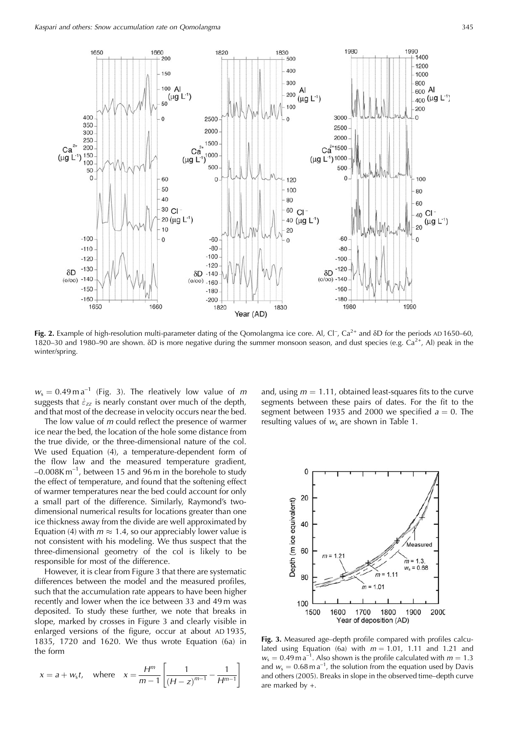

Fig. 2. Example of high-resolution multi-parameter dating of the Qomolangma ice core. Al,  $CI^-$ ,  $Ca^{2+}$  and  $\delta D$  for the periods AD 1650–60, 1820–30 and 1980–90 are shown.  $\delta D$  is more negative during the summer monsoon season, and dust species (e.g. Ca<sup>2+</sup>, Al) peak in the winter/spring.

 $w_s = 0.49 \text{ m a}^{-1}$  (Fig. 3). The rleatively low value of m suggests that  $\dot{\varepsilon}_{zz}$  is nearly constant over much of the depth, and that most of the decrease in velocity occurs near the bed.

The low value of  $m$  could reflect the presence of warmer ice near the bed, the location of the hole some distance from the true divide, or the three-dimensional nature of the col. We used Equation (4), a temperature-dependent form of the flow law and the measured temperature gradient,  $-0.008$ K m<sup>-1</sup>, between 15 and 96 m in the borehole to study the effect of temperature, and found that the softening effect of warmer temperatures near the bed could account for only a small part of the difference. Similarly, Raymond's twodimensional numerical results for locations greater than one ice thickness away from the divide are well approximated by Equation (4) with  $m \approx 1.4$ , so our appreciably lower value is not consistent with his modeling. We thus suspect that the three-dimensional geometry of the col is likely to be responsible for most of the difference.

However, it is clear from Figure 3 that there are systematic differences between the model and the measured profiles, such that the accumulation rate appears to have been higher recently and lower when the ice between 33 and 49 m was deposited. To study these further, we note that breaks in slope, marked by crosses in Figure 3 and clearly visible in enlarged versions of the figure, occur at about AD1935, 1835, 1720 and 1620. We thus wrote Equation (6a) in the form

$$
x = a + w_s t
$$
, where  $x = \frac{H^m}{m-1} \left[ \frac{1}{(H-z)^{m-1}} - \frac{1}{H^{m-1}} \right]$ 

and, using  $m = 1.11$ , obtained least-squares fits to the curve segments between these pairs of dates. For the fit to the segment between 1935 and 2000 we specified  $a = 0$ . The resulting values of  $w_s$  are shown in Table 1.



Fig. 3. Measured age-depth profile compared with profiles calculated using Equation (6a) with  $m = 1.01$ , 1.11 and 1.21 and  $w_s = 0.49$  m a<sup>-1</sup>. Also shown is the profile calculated with  $m = 1.3$ and  $w_s = 0.68 \text{ m a}^{-1}$ , the solution from the equation used by Davis and others (2005). Breaks in slope in the observed time-depth curve are marked by  $+$ .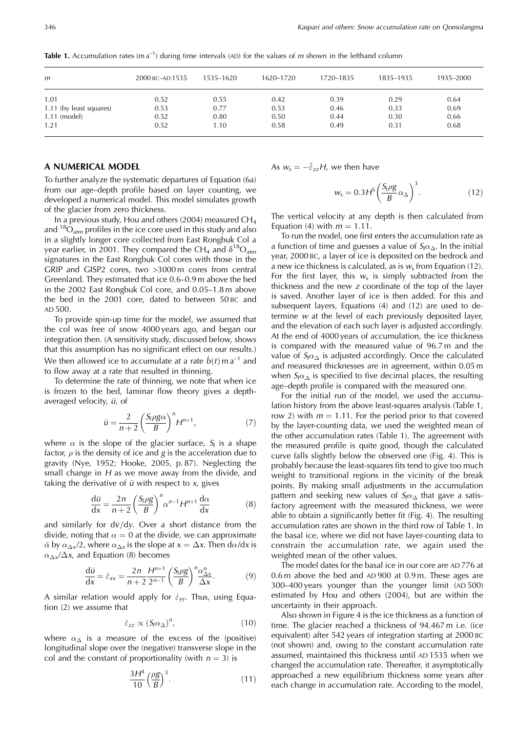|                         | 2000 BC-AD 1535 | 1535–1620 | 1620–1720 | 1720–1835 | 1835–1935 | 1935-2000 |
|-------------------------|-----------------|-----------|-----------|-----------|-----------|-----------|
| l.01                    | 0.52            | 0.55      | 0.42      | 0.39      | 0.29      | 0.64      |
| 1.11 (by least squares) | 0.53            | 0.77      | 0.53      | 0.46      | 0.33      | 0.69      |
| 1.11 (model)            | 0.52            | 0.80      | 0.50      | 0.44      | 0.30      | 0.66      |
| 1.21                    | 0.52            | 1.10      | 0.58      | 0.49      | 0.31      | 0.68      |

**Table 1.** Accumulation rates (m  $a^{-1}$ ) during time intervals (AD) for the values of m shown in the lefthand column

# A NUMERICAL MODEL

To further analyze the systematic departures of Equation (6a) from our age-depth profile based on layer counting, we developed a numerical model. This model simulates growth of the glacier from zero thickness.

In a previous study, Hou and others (2004) measured  $CH_4$ and  ${}^{18}O_{\text{atm}}$  profiles in the ice core used in this study and also in a slightly longer core collected from East Rongbuk Col a year earlier, in 2001. They compared the CH<sub>4</sub> and  $\delta^{18}O_{atm}$ signatures in the East Rongbuk Col cores with those in the GRIP and GISP2 cores, two >3000 m cores from central Greenland. They estimated that ice 0.6–0.9 m above the bed in the 2002 East Rongbuk Col core, and 0.05–1.8 m above the bed in the 2001 core, dated to between 50BC and AD 500.

To provide spin-up time for the model, we assumed that the col was free of snow 4000 years ago, and began our integration then. (A sensitivity study, discussed below, shows that this assumption has no significant effect on our results.) We then allowed ice to accumulate at a rate  $\dot{b}(t)$  m a<sup>-1</sup> and to flow away at a rate that resulted in thinning.

To determine the rate of thinning, we note that when ice is frozen to the bed, laminar flow theory gives a depthaveraged velocity,  $\bar{u}$ , of

$$
\bar{u} = \frac{2}{n+2} \left( \frac{S_i \rho g \alpha}{B} \right)^n H^{n+1},\tag{7}
$$

where  $\alpha$  is the slope of the glacier surface,  $S_f$  is a shape factor,  $\rho$  is the density of ice and g is the acceleration due to gravity (Nye, 1952; Hooke, 2005, p.87). Neglecting the small change in  $H$  as we move away from the divide, and taking the derivative of  $\bar{u}$  with respect to  $x$ , gives

$$
\frac{d\bar{u}}{dx} = \frac{2n}{n+2} \left(\frac{S_f \rho g}{B}\right)^n \alpha^{n-1} H^{n+1} \frac{d\alpha}{dx}
$$
 (8)

and similarly for  $d\bar{v}/dy$ . Over a short distance from the divide, noting that  $\alpha = 0$  at the divide, we can approximate  $\bar{\alpha}$  by  $\alpha_{\Delta x}/2$ , where  $\alpha_{\Delta x}$  is the slope at  $x = \Delta x$ . Then  $d\alpha/dx$  is  $\alpha_{\Delta x}/\Delta x$ , and Equation (8) becomes

$$
\frac{d\bar{u}}{dx} = \dot{\varepsilon}_{xx} = \frac{2n}{n+2} \frac{H^{n+1}}{2^{n-1}} \left(\frac{S_{f}\rho g}{B}\right)^{n} \frac{\alpha_{\Delta x}^{n}}{\Delta x}.
$$
 (9)

A similar relation would apply for  $\dot{\varepsilon}_{yy}$ . Thus, using Equation  $(2)$  we assume that

$$
\dot{\varepsilon}_{zz} \propto (S_f \alpha_\Delta)^n, \tag{10}
$$

where  $\alpha_{\Delta}$  is a measure of the excess of the (positive) longitudinal slope over the (negative) transverse slope in the col and the constant of proportionality (with  $n = 3$ ) is

$$
\frac{3H^4}{10}\left(\frac{\rho g}{B}\right)^3.\tag{11}
$$

As  $w_s = -\frac{z}{\epsilon_{zz}}H$ , we then have

$$
w_{s} = 0.3H^{5} \left(\frac{S_{f}\rho g}{B}\alpha_{\Delta}\right)^{3}.
$$
 (12)

The vertical velocity at any depth is then calculated from Equation (4) with  $m = 1.11$ .

To run the model, one first enters the accumulation rate as a function of time and guesses a value of  $S_f \alpha_{\Delta}$ . In the initial year, 2000 BC, a layer of ice is deposited on the bedrock and a new ice thickness is calculated, as is  $w_s$  from Equation (12). For the first layer, this  $w_s$  is simply subtracted from the thickness and the new z coordinate of the top of the layer is saved. Another layer of ice is then added. For this and subsequent layers, Equations (4) and (12) are used to determine w at the level of each previously deposited layer, and the elevation of each such layer is adjusted accordingly. At the end of 4000 years of accumulation, the ice thickness is compared with the measured value of 96.7 m and the value of  $S_f \alpha_{\Delta}$  is adjusted accordingly. Once the calculated and measured thicknesses are in agreement, within 0.05 m when  $S_f \alpha_{\Delta}$  is specified to five decimal places, the resulting age-depth profile is compared with the measured one.

For the initial run of the model, we used the accumulation history from the above least-squares analysis (Table 1, row 2) with  $m = 1.11$ . For the period prior to that covered by the layer-counting data, we used the weighted mean of the other accumulation rates (Table 1). The agreement with the measured profile is quite good, though the calculated curve falls slightly below the observed one (Fig. 4). This is probably because the least-squares fits tend to give too much weight to transitional regions in the vicinity of the break points. By making small adjustments in the accumulation pattern and seeking new values of  $S_f \alpha_{\Delta}$  that gave a satisfactory agreement with the measured thickness, we were able to obtain a significantly better fit (Fig. 4). The resulting accumulation rates are shown in the third row of Table 1. In the basal ice, where we did not have layer-counting data to constrain the accumulation rate, we again used the weighted mean of the other values.

The model dates for the basal ice in our core are AD 776 at 0.6 m above the bed and AD 900 at 0.9 m. These ages are 300-400 years younger than the younger limit (AD 500) estimated by Hou and others (2004), but are within the uncertainty in their approach.

Also shown in Figure 4 is the ice thickness as a function of time. The glacier reached a thickness of 94.467 m i.e. (ice equivalent) after 542 years of integration starting at 2000 BC (not shown) and, owing to the constant accumulation rate assumed, maintained this thickness until AD1535 when we changed the accumulation rate. Thereafter, it asymptotically approached a new equilibrium thickness some years after each change in accumulation rate. According to the model,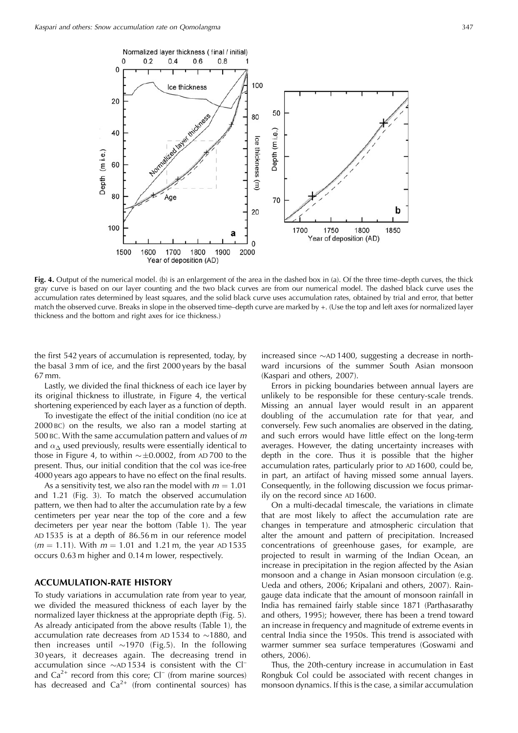

Fig. 4. Output of the numerical model. (b) is an enlargement of the area in the dashed box in (a). Of the three time-depth curves, the thick gray curve is based on our layer counting and the two black curves are from our numerical model. The dashed black curve uses the accumulation rates determined by least squares, and the solid black curve uses accumulation rates, obtained by trial and error, that better match the observed curve. Breaks in slope in the observed time-depth curve are marked by +. (Use the top and left axes for normalized layer thickness and the bottom and right axes for ice thickness.)

the first 542 years of accumulation is represented, today, by the basal 3 mm of ice, and the first 2000 years by the basal  $67$  mm.

Lastly, we divided the final thickness of each ice layer by its original thickness to illustrate, in Figure 4, the vertical shortening experienced by each layer as a function of depth.

To investigate the effect of the initial condition (no ice at 2000 BC) on the results, we also ran a model starting at 500 BC. With the same accumulation pattern and values of  $m$ and  $\alpha_{\Delta}$  used previously, results were essentially identical to those in Figure 4, to within  $\sim \pm 0.0002$ , from AD 700 to the present. Thus, our initial condition that the col was ice-free 4000 years ago appears to have no effect on the final results.

As a sensitivity test, we also ran the model with  $m = 1.01$ and 1.21 (Fig. 3). To match the observed accumulation pattern, we then had to alter the accumulation rate by a few centimeters per year near the top of the core and a few decimeters per year near the bottom (Table 1). The year AD 1535 is at a depth of 86.56 m in our reference model  $(m = 1.11)$ . With  $m = 1.01$  and 1.21 m, the year AD 1535 occurs 0.63 m higher and 0.14 m lower, respectively.

## **ACCUMULATION-RATE HISTORY**

To study variations in accumulation rate from year to year, we divided the measured thickness of each layer by the normalized layer thickness at the appropriate depth (Fig. 5). As already anticipated from the above results (Table 1), the accumulation rate decreases from AD 1534 to  $\sim$ 1880, and then increases until  $\sim$ 1970 (Fig.5). In the following 30 years, it decreases again. The decreasing trend in accumulation since  $\sim$ AD1534 is consistent with the Cl<sup>-</sup> and  $Ca^{2+}$  record from this core; Cl<sup>-</sup> (from marine sources) has decreased and  $Ca^{2+}$  (from continental sources) has

increased since  $\sim$  AD 1400, suggesting a decrease in northward incursions of the summer South Asian monsoon (Kaspari and others, 2007).

Errors in picking boundaries between annual layers are unlikely to be responsible for these century-scale trends. Missing an annual layer would result in an apparent doubling of the accumulation rate for that year, and conversely. Few such anomalies are observed in the dating, and such errors would have little effect on the long-term averages. However, the dating uncertainty increases with depth in the core. Thus it is possible that the higher accumulation rates, particularly prior to AD 1600, could be, in part, an artifact of having missed some annual layers. Consequently, in the following discussion we focus primarily on the record since AD 1600.

On a multi-decadal timescale, the variations in climate that are most likely to affect the accumulation rate are changes in temperature and atmospheric circulation that alter the amount and pattern of precipitation. Increased concentrations of greenhouse gases, for example, are projected to result in warming of the Indian Ocean, an increase in precipitation in the region affected by the Asian monsoon and a change in Asian monsoon circulation (e.g. Ueda and others, 2006; Kripalani and others, 2007). Raingauge data indicate that the amount of monsoon rainfall in India has remained fairly stable since 1871 (Parthasarathy and others, 1995); however, there has been a trend toward an increase in frequency and magnitude of extreme events in central India since the 1950s. This trend is associated with warmer summer sea surface temperatures (Goswami and others, 2006).

Thus, the 20th-century increase in accumulation in East Rongbuk Col could be associated with recent changes in monsoon dynamics. If this is the case, a similar accumulation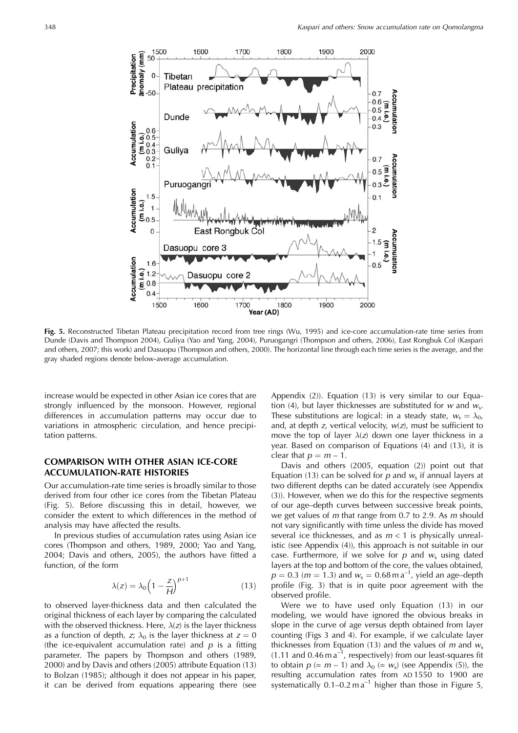

Fig. 5. Reconstructed Tibetan Plateau precipitation record from tree rings (Wu, 1995) and ice-core accumulation-rate time series from Dunde (Davis and Thompson 2004), Guliya (Yao and Yang, 2004), Puruogangri (Thompson and others, 2006), East Rongbuk Col (Kaspari and others, 2007; this work) and Dasuopu (Thompson and others, 2000). The horizontal line through each time series is the average, and the gray shaded regions denote below-average accumulation.

increase would be expected in other Asian ice cores that are strongly influenced by the monsoon. However, regional differences in accumulation patterns may occur due to variations in atmospheric circulation, and hence precipitation patterns.

# **COMPARISON WITH OTHER ASIAN ICE-CORE ACCUMULATION-RATE HISTORIES**

Our accumulation-rate time series is broadly similar to those derived from four other ice cores from the Tibetan Plateau (Fig. 5). Before discussing this in detail, however, we consider the extent to which differences in the method of analysis may have affected the results.

In previous studies of accumulation rates using Asian ice cores (Thompson and others, 1989, 2000; Yao and Yang, 2004; Davis and others, 2005), the authors have fitted a function, of the form

$$
\lambda(z) = \lambda_0 \left(1 - \frac{z}{H}\right)^{p+1} \tag{13}
$$

to observed layer-thickness data and then calculated the original thickness of each layer by comparing the calculated with the observed thickness. Here,  $\lambda(z)$  is the layer thickness as a function of depth, z;  $\lambda_0$  is the layer thickness at  $z = 0$ (the ice-equivalent accumulation rate) and  $p$  is a fitting parameter. The papers by Thompson and others (1989, 2000) and by Davis and others (2005) attribute Equation (13) to Bolzan (1985); although it does not appear in his paper, it can be derived from equations appearing there (see

Appendix (2)). Equation (13) is very similar to our Equation (4), but layer thicknesses are substituted for w and  $w_s$ . These substitutions are logical: in a steady state,  $w_s = \lambda_{0}$ and, at depth  $z$ , vertical velocity,  $w(z)$ , must be sufficient to move the top of layer  $\lambda(z)$  down one layer thickness in a year. Based on comparison of Equations (4) and (13), it is clear that  $p = m - 1$ .

Davis and others (2005, equation (2)) point out that Equation (13) can be solved for p and  $w_s$  if annual layers at two different depths can be dated accurately (see Appendix (3)). However, when we do this for the respective segments of our age-depth curves between successive break points, we get values of  $m$  that range from 0.7 to 2.9. As  $m$  should not vary significantly with time unless the divide has moved several ice thicknesses, and as  $m < 1$  is physically unrealistic (see Appendix (4)), this approach is not suitable in our case. Furthermore, if we solve for  $p$  and  $w_s$  using dated layers at the top and bottom of the core, the values obtained,  $p = 0.3$  (m = 1.3) and  $w_s = 0.68$  m a<sup>-1</sup>, yield an age-depth profile (Fig. 3) that is in quite poor agreement with the observed profile.

Were we to have used only Equation (13) in our modeling, we would have ignored the obvious breaks in slope in the curve of age versus depth obtained from layer counting (Figs 3 and 4). For example, if we calculate layer thicknesses from Equation (13) and the values of m and  $w_s$  $(1.11$  and 0.46 m a<sup>-1</sup>, respectively) from our least-squares fit to obtain  $p (= m - 1)$  and  $\lambda_0 (= w_s)$  (see Appendix (5)), the resulting accumulation rates from AD1550 to 1900 are systematically  $0.1-0.2$  m  $a^{-1}$  higher than those in Figure 5,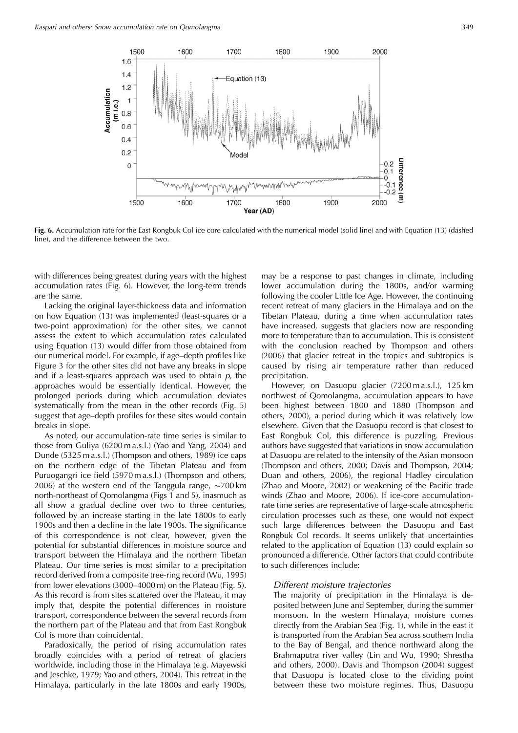

Fig. 6. Accumulation rate for the East Rongbuk Col ice core calculated with the numerical model (solid line) and with Equation (13) (dashed line), and the difference between the two.

with differences being greatest during years with the highest accumulation rates (Fig. 6). However, the long-term trends are the same.

Lacking the original layer-thickness data and information on how Equation (13) was implemented (least-squares or a two-point approximation) for the other sites, we cannot assess the extent to which accumulation rates calculated using Equation (13) would differ from those obtained from our numerical model. For example, if age–depth profiles like Figure 3 for the other sites did not have any breaks in slope and if a least-squares approach was used to obtain  $p$ , the approaches would be essentially identical. However, the prolonged periods during which accumulation deviates systematically from the mean in the other records (Fig. 5) suggest that age-depth profiles for these sites would contain breaks in slope.

As noted, our accumulation-rate time series is similar to those from Guliya (6200 m a.s.l.) (Yao and Yang, 2004) and Dunde (5325 m a.s.l.) (Thompson and others, 1989) ice caps on the northern edge of the Tibetan Plateau and from Puruogangri ice field (5970 m a.s.l.) (Thompson and others, 2006) at the western end of the Tanggula range,  $\sim$ 700 km north-northeast of Qomolangma (Figs 1 and 5), inasmuch as all show a gradual decline over two to three centuries, followed by an increase starting in the late 1800s to early 1900s and then a decline in the late 1900s. The significance of this correspondence is not clear, however, given the potential for substantial differences in moisture source and transport between the Himalaya and the northern Tibetan Plateau. Our time series is most similar to a precipitation record derived from a composite tree-ring record (Wu, 1995) from lower elevations (3000-4000 m) on the Plateau (Fig. 5). As this record is from sites scattered over the Plateau, it may imply that, despite the potential differences in moisture transport, correspondence between the several records from the northern part of the Plateau and that from East Rongbuk Col is more than coincidental.

Paradoxically, the period of rising accumulation rates broadly coincides with a period of retreat of glaciers worldwide, including those in the Himalaya (e.g. Mayewski and Jeschke, 1979; Yao and others, 2004). This retreat in the Himalaya, particularly in the late 1800s and early 1900s,

may be a response to past changes in climate, including lower accumulation during the 1800s, and/or warming following the cooler Little Ice Age. However, the continuing recent retreat of many glaciers in the Himalaya and on the Tibetan Plateau, during a time when accumulation rates have increased, suggests that glaciers now are responding more to temperature than to accumulation. This is consistent with the conclusion reached by Thompson and others (2006) that glacier retreat in the tropics and subtropics is caused by rising air temperature rather than reduced precipitation.

However, on Dasuopu glacier (7200 m a.s.l.), 125 km northwest of Qomolangma, accumulation appears to have been highest between 1800 and 1880 (Thompson and others, 2000), a period during which it was relatively low elsewhere. Given that the Dasuopu record is that closest to East Rongbuk Col, this difference is puzzling. Previous authors have suggested that variations in snow accumulation at Dasuopu are related to the intensity of the Asian monsoon (Thompson and others, 2000; Davis and Thompson, 2004; Duan and others, 2006), the regional Hadley circulation (Zhao and Moore, 2002) or weakening of the Pacific trade winds (Zhao and Moore, 2006). If ice-core accumulationrate time series are representative of large-scale atmospheric circulation processes such as these, one would not expect such large differences between the Dasuopu and East Rongbuk Col records. It seems unlikely that uncertainties related to the application of Equation (13) could explain so pronounced a difference. Other factors that could contribute to such differences include:

# Different moisture trajectories

The majority of precipitation in the Himalaya is deposited between June and September, during the summer monsoon. In the western Himalaya, moisture comes directly from the Arabian Sea (Fig. 1), while in the east it is transported from the Arabian Sea across southern India to the Bay of Bengal, and thence northward along the Brahmaputra river valley (Lin and Wu, 1990; Shrestha and others, 2000). Davis and Thompson (2004) suggest that Dasuopu is located close to the dividing point between these two moisture regimes. Thus, Dasuopu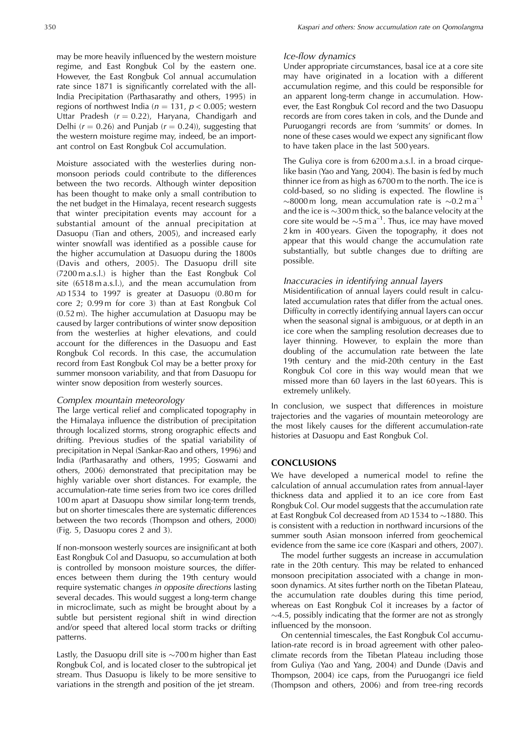may be more heavily influenced by the western moisture regime, and East Rongbuk Col by the eastern one. However, the East Rongbuk Col annual accumulation rate since 1871 is significantly correlated with the all-India Precipitation (Parthasarathy and others, 1995) in regions of northwest India ( $n = 131$ ,  $p < 0.005$ ; western Uttar Pradesh  $(r = 0.22)$ , Haryana, Chandigarh and Delhi ( $r = 0.26$ ) and Punjab ( $r = 0.24$ )), suggesting that the western moisture regime may, indeed, be an important control on East Rongbuk Col accumulation.

Moisture associated with the westerlies during nonmonsoon periods could contribute to the differences between the two records. Although winter deposition has been thought to make only a small contribution to the net budget in the Himalaya, recent research suggests that winter precipitation events may account for a substantial amount of the annual precipitation at Dasuopu (Tian and others, 2005), and increased early winter snowfall was identified as a possible cause for the higher accumulation at Dasuopu during the 1800s (Davis and others, 2005). The Dasuopu drill site (7200 m a.s.l.) is higher than the East Rongbuk Col site (6518 m a.s.l.), and the mean accumulation from AD 1534 to 1997 is greater at Dasuopu (0.80 m for core 2; 0.99 m for core 3) than at East Rongbuk Col  $(0.52 \text{ m})$ . The higher accumulation at Dasuopu may be caused by larger contributions of winter snow deposition from the westerlies at higher elevations, and could account for the differences in the Dasuopu and East Rongbuk Col records. In this case, the accumulation record from East Rongbuk Col may be a better proxy for summer monsoon variability, and that from Dasuopu for winter snow deposition from westerly sources.

# Complex mountain meteorology

The large vertical relief and complicated topography in the Himalaya influence the distribution of precipitation through localized storms, strong orographic effects and drifting. Previous studies of the spatial variability of precipitation in Nepal (Sankar-Rao and others, 1996) and India (Parthasarathy and others, 1995; Goswami and others, 2006) demonstrated that precipitation may be highly variable over short distances. For example, the accumulation-rate time series from two ice cores drilled 100 m apart at Dasuopu show similar long-term trends, but on shorter timescales there are systematic differences between the two records (Thompson and others, 2000) (Fig. 5, Dasuopu cores 2 and 3).

If non-monsoon westerly sources are insignificant at both East Rongbuk Col and Dasuopu, so accumulation at both is controlled by monsoon moisture sources, the differences between them during the 19th century would require systematic changes in opposite directions lasting several decades. This would suggest a long-term change in microclimate, such as might be brought about by a subtle but persistent regional shift in wind direction and/or speed that altered local storm tracks or drifting patterns.

Lastly, the Dasuopu drill site is  $\sim$ 700 m higher than East Rongbuk Col, and is located closer to the subtropical jet stream. Thus Dasuopu is likely to be more sensitive to variations in the strength and position of the jet stream.

# Ice-flow dynamics

Under appropriate circumstances, basal ice at a core site may have originated in a location with a different accumulation regime, and this could be responsible for an apparent long-term change in accumulation. However, the East Rongbuk Col record and the two Dasuopu records are from cores taken in cols, and the Dunde and Puruogangri records are from 'summits' or domes. In none of these cases would we expect any significant flow to have taken place in the last 500 years.

The Guliya core is from 6200 m a.s.l. in a broad cirquelike basin (Yao and Yang, 2004). The basin is fed by much thinner ice from as high as 6700 m to the north. The ice is cold-based, so no sliding is expected. The flowline is  $\sim$ 8000 m long, mean accumulation rate is  $\sim$ 0.2 m a<sup>-1</sup> and the ice is  $\sim$ 300 m thick, so the balance velocity at the core site would be  $\sim$ 5 m a<sup>-1</sup>. Thus, ice may have moved 2 km in 400 years. Given the topography, it does not appear that this would change the accumulation rate substantially, but subtle changes due to drifting are possible.

# Inaccuracies in identifying annual layers

Misidentification of annual layers could result in calculated accumulation rates that differ from the actual ones. Difficulty in correctly identifying annual layers can occur when the seasonal signal is ambiguous, or at depth in an ice core when the sampling resolution decreases due to layer thinning. However, to explain the more than doubling of the accumulation rate between the late 19th century and the mid-20th century in the East Rongbuk Col core in this way would mean that we missed more than 60 layers in the last 60 years. This is extremely unlikely.

In conclusion, we suspect that differences in moisture trajectories and the vagaries of mountain meteorology are the most likely causes for the different accumulation-rate histories at Dasuopu and East Rongbuk Col.

# **CONCLUSIONS**

We have developed a numerical model to refine the calculation of annual accumulation rates from annual-layer thickness data and applied it to an ice core from East Rongbuk Col. Our model suggests that the accumulation rate at East Rongbuk Col decreased from AD 1534 to  $\sim$ 1880. This is consistent with a reduction in northward incursions of the summer south Asian monsoon inferred from geochemical evidence from the same ice core (Kaspari and others, 2007).

The model further suggests an increase in accumulation rate in the 20th century. This may be related to enhanced monsoon precipitation associated with a change in monsoon dynamics. At sites further north on the Tibetan Plateau, the accumulation rate doubles during this time period, whereas on East Rongbuk Col it increases by a factor of  $\sim$ 4.5, possibly indicating that the former are not as strongly influenced by the monsoon.

On centennial timescales, the East Rongbuk Col accumulation-rate record is in broad agreement with other paleoclimate records from the Tibetan Plateau including those from Guliya (Yao and Yang, 2004) and Dunde (Davis and Thompson, 2004) ice caps, from the Puruogangri ice field (Thompson and others, 2006) and from tree-ring records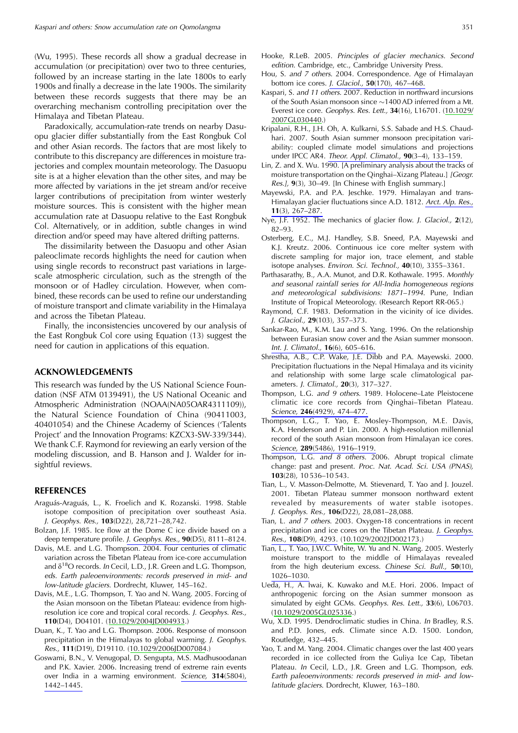(Wu, 1995). These records all show a gradual decrease in accumulation (or precipitation) over two to three centuries, followed by an increase starting in the late 1800s to early 1900s and finally a decrease in the late 1900s. The similarity between these records suggests that there may be an overarching mechanism controlling precipitation over the Himalaya and Tibetan Plateau.

Paradoxically, accumulation-rate trends on nearby Dasuopu glacier differ substantially from the East Rongbuk Col and other Asian records. The factors that are most likely to contribute to this discrepancy are differences in moisture trajectories and complex mountain meteorology. The Dasuopu site is at a higher elevation than the other sites, and may be more affected by variations in the jet stream and/or receive larger contributions of precipitation from winter westerly moisture sources. This is consistent with the higher mean accumulation rate at Dasuopu relative to the East Rongbuk Col. Alternatively, or in addition, subtle changes in wind direction and/or speed may have altered drifting patterns.

The dissimilarity between the Dasuopu and other Asian paleoclimate records highlights the need for caution when using single records to reconstruct past variations in largescale atmospheric circulation, such as the strength of the monsoon or of Hadley circulation. However, when combined, these records can be used to refine our understanding of moisture transport and climate variability in the Himalaya and across the Tibetan Plateau.

Finally, the inconsistencies uncovered by our analysis of the East Rongbuk Col core using Equation (13) suggest the need for caution in applications of this equation.

# **ACKNOWLEDGEMENTS**

This research was funded by the US National Science Foundation (NSF ATM 0139491), the US National Oceanic and Atmospheric Administration (NOAA(NA05OAR4311109)), the Natural Science Foundation of China (90411003, 40401054) and the Chinese Academy of Sciences ('Talents Project' and the Innovation Programs: KZCX3-SW-339/344). We thank C.F. Raymond for reviewing an early version of the modeling discussion, and B. Hanson and J. Walder for insightful reviews.

#### **REFERENCES**

- Araguás-Araguás, L., K. Froelich and K. Rozanski. 1998. Stable isotope composition of precipitation over southeast Asia. J. Geophys. Res., 103(D22), 28,721-28,742.
- Bolzan, J.F. 1985. Ice flow at the Dome C ice divide based on a deep temperature profile. J. Geophys. Res., 90(D5), 8111-8124.
- Davis, M.E. and L.G. Thompson. 2004. Four centuries of climatic variation across the Tibetan Plateau from ice-core accumulation and  $\delta^{18}O$  records. In Cecil, L.D., J.R. Green and L.G. Thompson, eds. Earth paleoenvironments: records preserved in mid- and low-latitude glaciers. Dordrecht, Kluwer, 145-162.
- Davis, M.E., L.G. Thompson, T. Yao and N. Wang. 2005. Forcing of the Asian monsoon on the Tibetan Plateau: evidence from highresolution ice core and tropical coral records. J. Geophys. Res., 110(D4), D04101. (10.1029/2004JD004933.)
- Duan, K., T. Yao and L.G. Thompson. 2006. Response of monsoon precipitation in the Himalayas to global warming. J. Geophys. Res., 111(D19), D19110. (10.1029/2006JD007084.)
- Goswami, B.N., V. Venugopal, D. Sengupta, M.S. Madhusoodanan and P.K. Xavier. 2006. Increasing trend of extreme rain events over India in a warming environment. Science, 314(5804), 1442-1445.
- Hou, S. and 7 others. 2004. Correspondence. Age of Himalayan bottom ice cores. J. Glaciol., 50(170), 467-468.
- Kaspari, S. and 11 others. 2007. Reduction in northward incursions of the South Asian monsoon since  $\sim$ 1400 AD inferred from a Mt. Everest ice core. Geophys. Res. Lett., 34(16), L16701. (10.1029/ 2007GL030440.)
- Kripalani, R.H., J.H. Oh, A. Kulkarni, S.S. Sabade and H.S. Chaudhari. 2007. South Asian summer monsoon precipitation variability: coupled climate model simulations and projections under IPCC AR4. Theor. Appl. Climatol., 90(3-4), 133-159.
- Lin, Z. and X. Wu. 1990. [A preliminary analysis about the tracks of moisture transportation on the Qinghai-Xizang Plateau.] [Geogr. Res.], 9(3), 30-49. [In Chinese with English summary.]
- Mayewski, P.A. and P.A. Jeschke. 1979. Himalayan and trans-Himalayan glacier fluctuations since A.D. 1812. Arct. Alp. Res.,  $11(3), 267 - 287.$
- Nye, J.F. 1952. The mechanics of glacier flow. J. Glaciol., 2(12),  $82 - 93.$
- Osterberg, E.C., M.J. Handley, S.B. Sneed, P.A. Mayewski and K.J. Kreutz. 2006. Continuous ice core melter system with discrete sampling for major ion, trace element, and stable isotope analyses. Environ. Sci. Technol., 40(10), 3355-3361.
- Parthasarathy, B., A.A. Munot, and D.R. Kothawale. 1995. Monthly and seasonal rainfall series for All-India homogeneous regions and meteorological subdivisions: 1871-1994. Pune, Indian Institute of Tropical Meteorology. (Research Report RR-065.)
- Raymond, C.F. 1983. Deformation in the vicinity of ice divides. J. Glaciol., 29(103), 357-373.
- Sankar-Rao, M., K.M. Lau and S. Yang. 1996. On the relationship between Eurasian snow cover and the Asian summer monsoon. Int. J. Climatol., 16(6), 605-616.
- Shrestha, A.B., C.P. Wake, J.E. Dibb and P.A. Mayewski. 2000. Precipitation fluctuations in the Nepal Himalaya and its vicinity and relationship with some large scale climatological parameters. J. Climatol., 20(3), 317-327.
- Thompson, L.G. and 9 others. 1989. Holocene-Late Pleistocene climatic ice core records from Qinghai-Tibetan Plateau. Science, 246(4929), 474-477.
- Thompson, L.G., T. Yao, E. Mosley-Thompson, M.E. Davis, K.A. Henderson and P. Lin. 2000. A high-resolution millennial record of the south Asian monsoon from Himalayan ice cores. Science, 289(5486), 1916-1919.
- Thompson, L.G. and 8 others. 2006. Abrupt tropical climate change: past and present. Proc. Nat. Acad. Sci. USA (PNAS), 103(28), 10536-10543.
- Tian, L., V. Masson-Delmotte, M. Stievenard, T. Yao and J. Jouzel. 2001. Tibetan Plateau summer monsoon northward extent revealed by measurements of water stable isotopes. J. Geophys. Res., 106(D22), 28,081-28,088.
- Tian, L. and 7 others. 2003. Oxygen-18 concentrations in recent precipitation and ice cores on the Tibetan Plateau. J. Geophys. Res., 108(D9), 4293. (10.1029/2002JD002173.)
- Tian, L., T. Yao, J.W.C. White, W. Yu and N. Wang. 2005. Westerly moisture transport to the middle of Himalayas revealed from the high deuterium excess. Chinese Sci. Bull., 50(10), 1026-1030.
- Ueda, H., A. Iwai, K. Kuwako and M.E. Hori. 2006. Impact of anthropogenic forcing on the Asian summer monsoon as simulated by eight GCMs. Geophys. Res. Lett., 33(6), L06703.  $(10.1029/2005$ GL025336.)
- Wu, X.D. 1995. Dendroclimatic studies in China. In Bradley, R.S. and P.D. Jones, eds. Climate since A.D. 1500. London, Routledge, 432-445.
- Yao, T. and M. Yang. 2004. Climatic changes over the last 400 years recorded in ice collected from the Guliya Ice Cap, Tibetan Plateau. In Cecil, L.D., J.R. Green and L.G. Thompson, eds. Earth paleoenvironments: records preserved in mid- and lowlatitude glaciers. Dordrecht, Kluwer, 163-180.